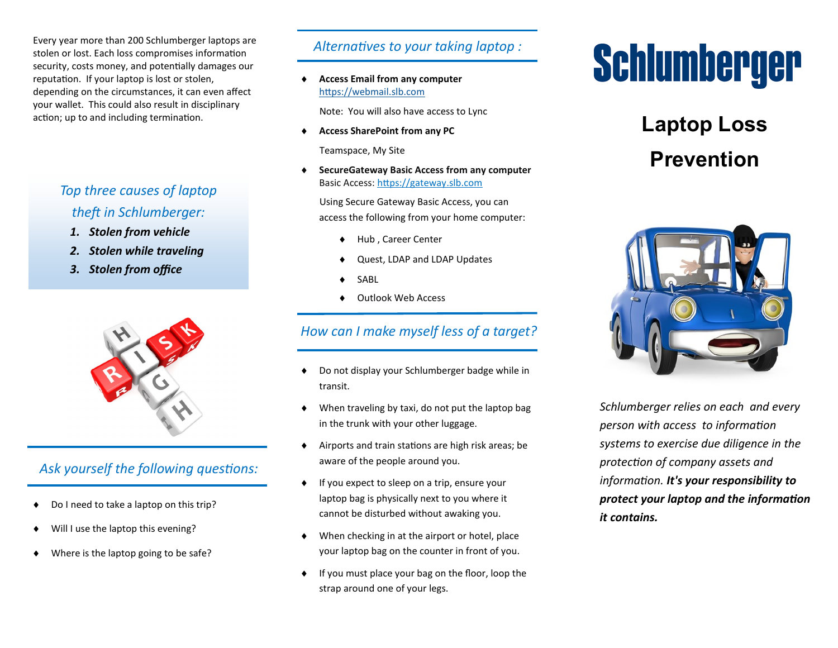Every year more than 200 Schlumberger laptops are stolen or lost. Each loss compromises information security, costs money, and potentially damages our reputation. If your laptop is lost or stolen, depending on the circumstances, it can even affect your wallet. This could also result in disciplinary action; up to and including termination.

# *Top three causes of laptop theft in Schlumberger:*

- *1. Stolen from vehicle*
- *2. Stolen while traveling*
- *3. Stolen from office*



# *Ask yourself the following questions:*

- ◆ Do I need to take a laptop on this trip?
- Will I use the laptop this evening?
- Where is the laptop going to be safe?

#### *Alternatives to your taking laptop :*

 **Access Email from any computer** <https://webmail.slb.com>

Note: You will also have access to Lync

**Access SharePoint from any PC**

Teamspace, My Site

 **SecureGateway Basic Access from any computer** Basic Access: <https://gateway.slb.com>

 Using Secure Gateway Basic Access, you can access the following from your home computer:

- Hub , Career Center
- Quest, LDAP and LDAP Updates
- SABL
- Outlook Web Access

### *How can I make myself less of a target?*

- ◆ Do not display your Schlumberger badge while in transit.
- When traveling by taxi, do not put the laptop bag in the trunk with your other luggage.
- Airports and train stations are high risk areas; be aware of the people around you.
- If you expect to sleep on a trip, ensure your laptop bag is physically next to you where it cannot be disturbed without awaking you.
- When checking in at the airport or hotel, place your laptop bag on the counter in front of you.
- $\bullet$  If you must place your bag on the floor, loop the strap around one of your legs.

# Schlumberger

# **Laptop Loss Prevention**



*Schlumberger relies on each and every person with access to information systems to exercise due diligence in the protection of company assets and information. It's your responsibility to protect your laptop and the information it contains.*